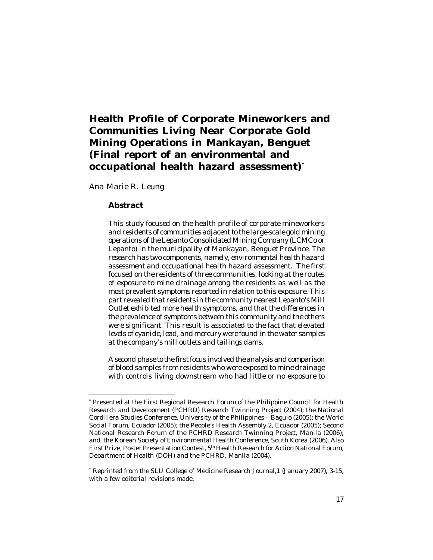# **Health Profile of Corporate Mineworkers and Communities Living Near Corporate Gold Mining Operations in Mankayan, Benguet (Final report of an environmental and occupational health hazard assessment)\***

*Ana Marie R. Leung*

#### **Abstract**

*This study focused on the health profile of corporate mineworkers and residents of communities adjacent to the large-scale gold mining operations of the Lepanto Consolidated Mining Company (LCMCo or Lepanto) in the municipality of Mankayan, Benguet Province. The research has two components, namely, environmental health hazard assessment and occupational health hazard assessment. The first focused on the residents of three communities, looking at the routes of exposure to mine drainage among the residents as well as the most prevalent symptoms reported in relation to this exposure. This part revealed that residents in the community nearest Lepanto's Mill Outlet exhibited more health symptoms, and that the differences in the prevalence of symptoms between this community and the others were significant. This result is associated to the fact that elevated levels of cyanide, lead, and mercury were found in the water samples at the company's mill outlets and tailings dams.*

*A second phase to the first focus involved the analysis and comparison of blood samples from residents who were exposed to mine drainage with controls living downstream who had little or no exposure to*

<sup>\*</sup> Presented at the First Regional Research Forum of the Philippine Council for Health Research and Development (PCHRD) Research Twinning Project (2004); the National Cordillera Studies Conference, University of the Philippines – Baguio (2005); the World Social Forum, Ecuador (2005); the People's Health Assembly 2, Ecuador (2005); Second National Research Forum of the PCHRD Research Twinning Project, Manila (2006); and, the Korean Society of Environmental Health Conference, South Korea (2006). Also First Prize, Poster Presentation Contest, 5<sup>th</sup> Health Research for Action National Forum, Department of Health (DOH) and the PCHRD, Manila (2004).

<sup>\*</sup> Reprinted from the SLU College of Medicine Research Journal,1 (January 2007), 3-15, with a few editorial revisions made.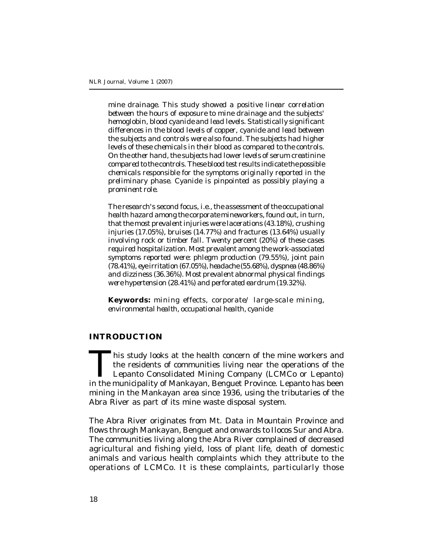*mine drainage. This study showed a positive linear correlation between the hours of exposure to mine drainage and the subjects' hemoglobin, blood cyanide and lead levels. Statistically significant differences in the blood levels of copper, cyanide and lead between the subjects and controls were also found. The subjects had higher levels of these chemicals in their blood as compared to the controls. On the other hand, the subjects had lower levels of serum creatinine compared to the controls. These blood test results indicate the possible chemicals responsible for the symptoms originally reported in the preliminary phase. Cyanide is pinpointed as possibly playing a prominent role.*

*The research's second focus, i.e., the assessment of the occupational health hazard among the corporate mineworkers, found out, in turn, that the most prevalent injuries were lacerations (43.18%), crushing injuries (17.05%), bruises (14.77%) and fractures (13.64%) usually involving rock or timber fall. Twenty percent (20%) of these cases required hospitalization. Most prevalent among the work-associated symptoms reported were: phlegm production (79.55%), joint pain (78.41%), eye irritation (67.05%), headache (55.68%), dyspnea (48.86%) and dizziness (36.36%). Most prevalent abnormal physical findings were hypertension (28.41%) and perforated eardrum (19.32%).*

**Keywords:** *mining effects, corporate/ large-scale mining, environmental health, occupational health, cyanide*

#### **INTRODUCTION**

Inis study looks at the health concern of the mine workers and<br>the residents of communities living near the operations of the<br>Lepanto Consolidated Mining Company (LCMCo or Lepanto)<br>in the municipality of Mankayan, Benguet his study looks at the health concern of the mine workers and the residents of communities living near the operations of the Lepanto Consolidated Mining Company (LCMCo or Lepanto) mining in the Mankayan area since 1936, using the tributaries of the Abra River as part of its mine waste disposal system.

The Abra River originates from Mt. Data in Mountain Province and flows through Mankayan, Benguet and onwards to Ilocos Sur and Abra. The communities living along the Abra River complained of decreased agricultural and fishing yield, loss of plant life, death of domestic animals and various health complaints which they attribute to the operations of LCMCo. It is these complaints, particularly those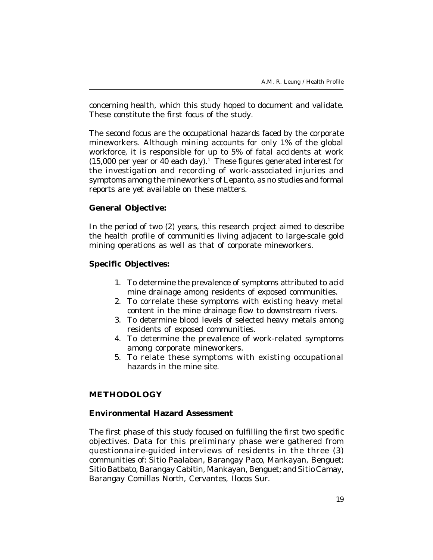concerning health, which this study hoped to document and validate. These constitute the first focus of the study.

The second focus are the occupational hazards faced by the corporate mineworkers. Although mining accounts for only 1% of the global workforce, it is responsible for up to 5% of fatal accidents at work (15,000 per year or 40 each day).<sup>1</sup> These figures generated interest for the investigation and recording of work-associated injuries and symptoms among the mineworkers of Lepanto, as no studies and formal reports are yet available on these matters.

# **General Objective:**

In the period of two (2) years, this research project aimed to describe the health profile of communities living adjacent to large-scale gold mining operations as well as that of corporate mineworkers.

# **Specific Objectives:**

- 1. To determine the prevalence of symptoms attributed to acid mine drainage among residents of exposed communities.
- 2. To correlate these symptoms with existing heavy metal content in the mine drainage flow to downstream rivers.
- 3. To determine blood levels of selected heavy metals among residents of exposed communities.
- 4. To determine the prevalence of work-related symptoms among corporate mineworkers.
- 5. To relate these symptoms with existing occupational hazards in the mine site.

# **METHODOLOGY**

#### **Environmental Hazard Assessment**

The first phase of this study focused on fulfilling the first two specific objectives. Data for this preliminary phase were gathered from questionnaire-guided interviews of residents in the three (3) communities of: Sitio Paalaban, Barangay Paco, Mankayan, Benguet; Sitio Batbato, Barangay Cabitin, Mankayan, Benguet; and Sitio Camay, Barangay Comillas North, Cervantes, Ilocos Sur.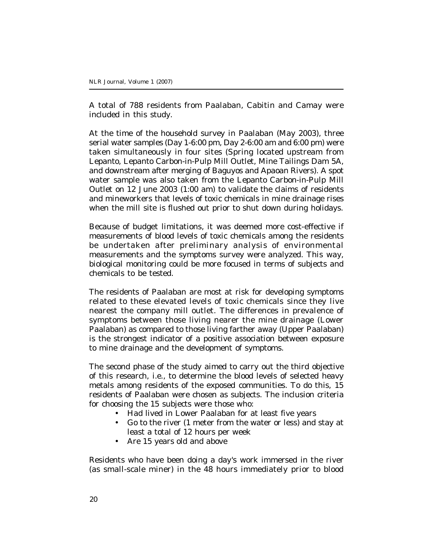A total of 788 residents from Paalaban, Cabitin and Camay were included in this study.

At the time of the household survey in Paalaban (May 2003), three serial water samples (Day 1-6:00 pm, Day 2-6:00 am and 6:00 pm) were taken simultaneously in four sites (Spring located upstream from Lepanto, Lepanto Carbon-in-Pulp Mill Outlet, Mine Tailings Dam 5A, and downstream after merging of Baguyos and Apaoan Rivers). A spot water sample was also taken from the Lepanto Carbon-in-Pulp Mill Outlet on 12 June 2003 (1:00 am) to validate the claims of residents and mineworkers that levels of toxic chemicals in mine drainage rises when the mill site is flushed out prior to shut down during holidays.

Because of budget limitations, it was deemed more cost-effective if measurements of blood levels of toxic chemicals among the residents be undertaken after preliminary analysis of environmental measurements and the symptoms survey were analyzed. This way, biological monitoring could be more focused in terms of subjects and chemicals to be tested.

The residents of Paalaban are most at risk for developing symptoms related to these elevated levels of toxic chemicals since they live nearest the company mill outlet. The differences in prevalence of symptoms between those living nearer the mine drainage (Lower Paalaban) as compared to those living farther away (Upper Paalaban) is the strongest indicator of a positive association between exposure to mine drainage and the development of symptoms.

The second phase of the study aimed to carry out the third objective of this research, i.e., to determine the blood levels of selected heavy metals among residents of the exposed communities. To do this, 15 residents of Paalaban were chosen as subjects. The inclusion criteria for choosing the 15 subjects were those who:

- Had lived in Lower Paalaban for at least five years
- Go to the river (1 meter from the water or less) and stay at least a total of 12 hours per week
- Are 15 years old and above

Residents who have been doing a day's work immersed in the river (as small-scale miner) in the 48 hours immediately prior to blood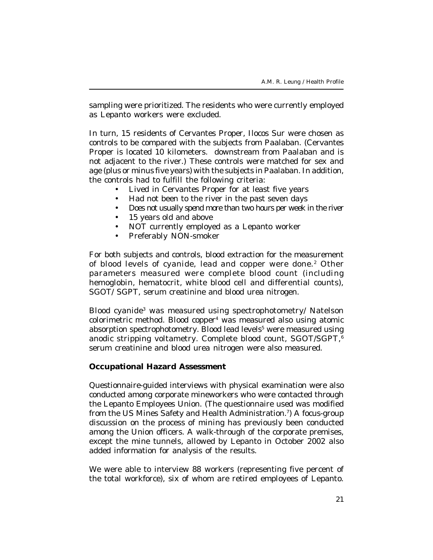sampling were prioritized. The residents who were currently employed as Lepanto workers were excluded.

In turn, 15 residents of Cervantes Proper, Ilocos Sur were chosen as controls to be compared with the subjects from Paalaban. (Cervantes Proper is located 10 kilometers. downstream from Paalaban and is not adjacent to the river.) These controls were matched for sex and age (plus or minus five years) with the subjects in Paalaban. In addition, the controls had to fulfill the following criteria:

- Lived in Cervantes Proper for at least five years
- Had not been to the river in the past seven days
- Does not usually spend more than two hours per week in the river
- 15 years old and above
- NOT currently employed as a Lepanto worker
- Preferably NON-smoker

For both subjects and controls, blood extraction for the measurement of blood levels of cyanide, lead and copper were done.<sup>2</sup> Other parameters measured were complete blood count (including hemoglobin, hematocrit, white blood cell and differential counts), SGOT/ SGPT, serum creatinine and blood urea nitrogen.

Blood cyanide<sup>3</sup> was measured using spectrophotometry/ Natelson colorimetric method. Blood copper<sup>4</sup> was measured also using atomic absorption spectrophotometry. Blood lead levels<sup>5</sup> were measured using anodic stripping voltametry. Complete blood count, SGOT/SGPT,<sup>6</sup> serum creatinine and blood urea nitrogen were also measured.

#### **Occupational Hazard Assessment**

Questionnaire-guided interviews with physical examination were also conducted among corporate mineworkers who were contacted through the Lepanto Employees Union. (The questionnaire used was modified from the US Mines Safety and Health Administration.<sup>7</sup>) A focus-group discussion on the process of mining has previously been conducted among the Union officers. A walk-through of the corporate premises, except the mine tunnels, allowed by Lepanto in October 2002 also added information for analysis of the results.

We were able to interview 88 workers (representing five percent of the total workforce), six of whom are retired employees of Lepanto.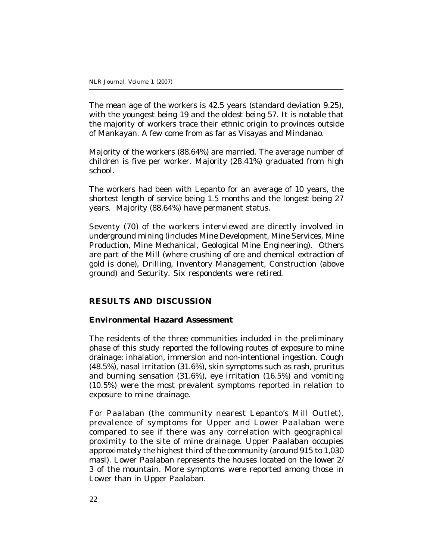The mean age of the workers is 42.5 years (standard deviation 9.25), with the youngest being 19 and the oldest being 57. It is notable that the majority of workers trace their ethnic origin to provinces outside of Mankayan. A few come from as far as Visayas and Mindanao.

Majority of the workers (88.64%) are married. The average number of children is five per worker. Majority (28.41%) graduated from high school.

The workers had been with Lepanto for an average of 10 years, the shortest length of service being 1.5 months and the longest being 27 years. Majority (88.64%) have permanent status.

Seventy (70) of the workers interviewed are directly involved in underground mining (includes Mine Development, Mine Services, Mine Production, Mine Mechanical, Geological Mine Engineering). Others are part of the Mill (where crushing of ore and chemical extraction of gold is done), Drilling, Inventory Management, Construction (above ground) and Security. Six respondents were retired.

# **RESULTS AND DISCUSSION**

#### **Environmental Hazard Assessment**

The residents of the three communities included in the preliminary phase of this study reported the following routes of exposure to mine drainage: inhalation, immersion and non-intentional ingestion. Cough (48.5%), nasal irritation (31.6%), skin symptoms such as rash, pruritus and burning sensation (31.6%), eye irritation (16.5%) and vomiting (10.5%) were the most prevalent symptoms reported in relation to exposure to mine drainage.

For Paalaban (the community nearest Lepanto's Mill Outlet), prevalence of symptoms for Upper and Lower Paalaban were compared to see if there was any correlation with geographical proximity to the site of mine drainage. Upper Paalaban occupies approximately the highest third of the community (around 915 to 1,030 masl). Lower Paalaban represents the houses located on the lower 2/ 3 of the mountain. More symptoms were reported among those in Lower than in Upper Paalaban.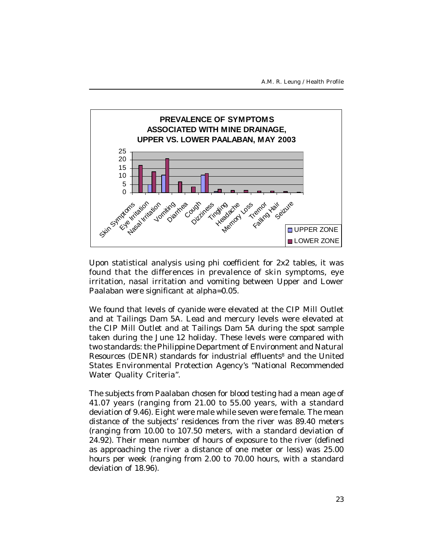A.M. R. Leung / Health Profile



Upon statistical analysis using phi coefficient for 2x2 tables, it was found that the differences in prevalence of skin symptoms, eye irritation, nasal irritation and vomiting between Upper and Lower Paalaban were significant at alpha=0.05.

We found that levels of cyanide were elevated at the CIP Mill Outlet and at Tailings Dam 5A. Lead and mercury levels were elevated at the CIP Mill Outlet and at Tailings Dam 5A during the spot sample taken during the June 12 holiday. These levels were compared with two standards: the Philippine Department of Environment and Natural Resources (DENR) standards for industrial effluents<sup>8</sup> and the United States Environmental Protection Agency's "National Recommended Water Quality Criteria".

The subjects from Paalaban chosen for blood testing had a mean age of 41.07 years (ranging from 21.00 to 55.00 years, with a standard deviation of 9.46). Eight were male while seven were female. The mean distance of the subjects' residences from the river was 89.40 meters (ranging from 10.00 to 107.50 meters, with a standard deviation of 24.92). Their mean number of hours of exposure to the river (defined as approaching the river a distance of one meter or less) was 25.00 hours per week (ranging from 2.00 to 70.00 hours, with a standard deviation of 18.96).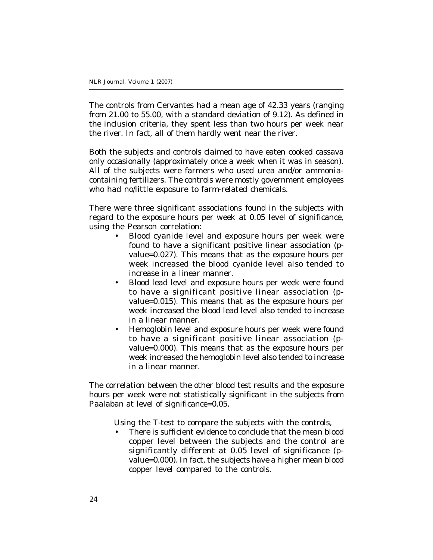The controls from Cervantes had a mean age of 42.33 years (ranging from 21.00 to 55.00, with a standard deviation of 9.12). As defined in the inclusion criteria, they spent less than two hours per week near the river. In fact, all of them hardly went near the river.

Both the subjects and controls claimed to have eaten cooked cassava only occasionally (approximately once a week when it was in season). All of the subjects were farmers who used urea and/or ammoniacontaining fertilizers. The controls were mostly government employees who had no/little exposure to farm-related chemicals.

There were three significant associations found in the subjects with regard to the exposure hours per week at 0.05 level of significance, using the Pearson correlation:

- Blood cyanide level and exposure hours per week were found to have a significant positive linear association (pvalue=0.027). This means that as the exposure hours per week increased the blood cyanide level also tended to increase in a linear manner.
- Blood lead level and exposure hours per week were found to have a significant positive linear association (pvalue=0.015). This means that as the exposure hours per week increased the blood lead level also tended to increase in a linear manner.
- Hemoglobin level and exposure hours per week were found to have a significant positive linear association (pvalue=0.000). This means that as the exposure hours per week increased the hemoglobin level also tended to increase in a linear manner.

The correlation between the other blood test results and the exposure hours per week were not statistically significant in the subjects from Paalaban at level of significance=0.05.

Using the T-test to compare the subjects with the controls,

There is sufficient evidence to conclude that the mean blood copper level between the subjects and the control are significantly different at 0.05 level of significance (pvalue=0.000). In fact, the subjects have a higher mean blood copper level compared to the controls.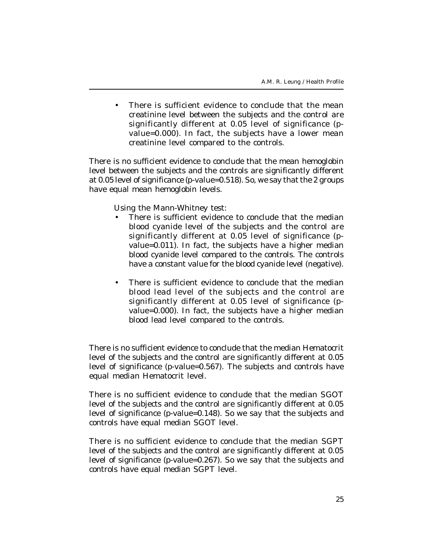• There is sufficient evidence to conclude that the mean creatinine level between the subjects and the control are significantly different at 0.05 level of significance (pvalue=0.000). In fact, the subjects have a lower mean creatinine level compared to the controls.

There is no sufficient evidence to conclude that the mean hemoglobin level between the subjects and the controls are significantly different at 0.05 level of significance (p-value=0.518). So, we say that the 2 groups have equal mean hemoglobin levels.

Using the Mann-Whitney test:

- There is sufficient evidence to conclude that the median blood cyanide level of the subjects and the control are significantly different at 0.05 level of significance (pvalue=0.011). In fact, the subjects have a higher median blood cyanide level compared to the controls. The controls have a constant value for the blood cyanide level (negative).
- There is sufficient evidence to conclude that the median blood lead level of the subjects and the control are significantly different at 0.05 level of significance (pvalue=0.000). In fact, the subjects have a higher median blood lead level compared to the controls.

There is no sufficient evidence to conclude that the median Hematocrit level of the subjects and the control are significantly different at 0.05 level of significance (p-value=0.567). The subjects and controls have equal median Hematocrit level.

There is no sufficient evidence to conclude that the median SGOT level of the subjects and the control are significantly different at 0.05 level of significance (p-value=0.148). So we say that the subjects and controls have equal median SGOT level.

There is no sufficient evidence to conclude that the median SGPT level of the subjects and the control are significantly different at 0.05 level of significance (p-value=0.267). So we say that the subjects and controls have equal median SGPT level.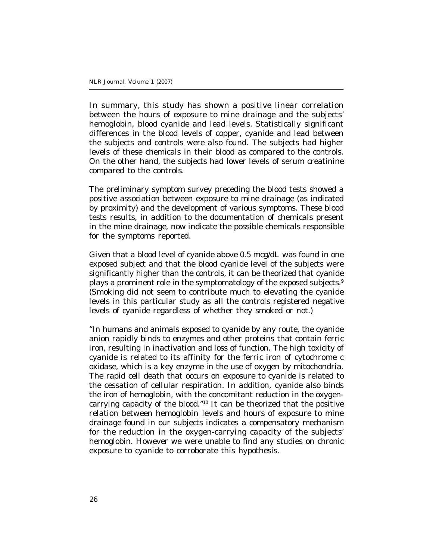In summary, this study has shown a positive linear correlation between the hours of exposure to mine drainage and the subjects' hemoglobin, blood cyanide and lead levels. Statistically significant differences in the blood levels of copper, cyanide and lead between the subjects and controls were also found. The subjects had higher levels of these chemicals in their blood as compared to the controls. On the other hand, the subjects had lower levels of serum creatinine compared to the controls.

The preliminary symptom survey preceding the blood tests showed a positive association between exposure to mine drainage (as indicated by proximity) and the development of various symptoms. These blood tests results, in addition to the documentation of chemicals present in the mine drainage, now indicate the possible chemicals responsible for the symptoms reported.

Given that a blood level of cyanide above 0.5 mcg/dL was found in one exposed subject and that the blood cyanide level of the subjects were significantly higher than the controls, it can be theorized that cyanide plays a prominent role in the symptomatology of the exposed subjects.<sup>9</sup> (Smoking did not seem to contribute much to elevating the cyanide levels in this particular study as all the controls registered negative levels of cyanide regardless of whether they smoked or not.)

"In humans and animals exposed to cyanide by any route, the cyanide anion rapidly binds to enzymes and other proteins that contain ferric iron, resulting in inactivation and loss of function. The high toxicity of cyanide is related to its affinity for the ferric iron of cytochrome c oxidase, which is a key enzyme in the use of oxygen by mitochondria. The rapid cell death that occurs on exposure to cyanide is related to the cessation of cellular respiration. In addition, cyanide also binds the iron of hemoglobin, with the concomitant reduction in the oxygencarrying capacity of the blood."10 It can be theorized that the positive relation between hemoglobin levels and hours of exposure to mine drainage found in our subjects indicates a compensatory mechanism for the reduction in the oxygen-carrying capacity of the subjects' hemoglobin. However we were unable to find any studies on chronic exposure to cyanide to corroborate this hypothesis.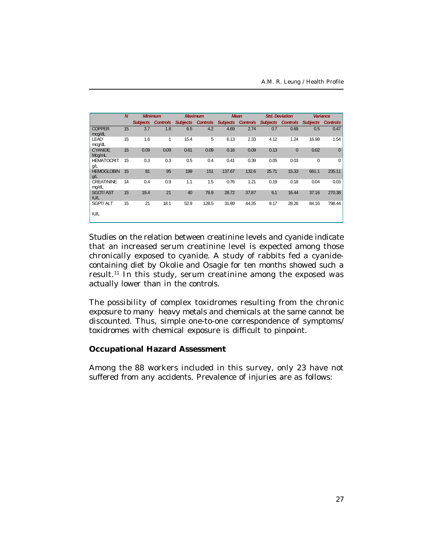|                                | $\overline{M}$ |                 |                 | <b>Maximum</b>  |                 | <b>Mean</b>     |                 | <b>Std. Deviation</b> |                 | <b>Variance</b> |                 |
|--------------------------------|----------------|-----------------|-----------------|-----------------|-----------------|-----------------|-----------------|-----------------------|-----------------|-----------------|-----------------|
|                                |                | <b>Minimum</b>  |                 |                 |                 |                 |                 |                       |                 |                 |                 |
|                                |                | <b>Subjects</b> | <b>Controls</b> | <b>Subjects</b> | <b>Controls</b> | <b>Subjects</b> | <b>Controls</b> | <b>Subjects</b>       | <b>Controls</b> | <b>Subjects</b> | <b>Controls</b> |
| <b>COPPER</b><br>mcg/dL        | 15             | 3.7             | 1.8             | 6.5             | 4.2             | 4.69            | 2.74            | 0.7                   | 0.69            | 0.5             | 0.47            |
| <b>LEAD</b><br>mcg/dL          | 15             | 1.6             | 1               | 15.4            | 5               | 6.13            | 2.33            | 4.12                  | 1.24            | 16.98           | 1.54            |
| <b>CYANIDE</b><br>Mcg/mL       | 15             | 0.09            | 0.09            | 0.61            | 0.09            | 0.16            | 0.09            | 0.13                  | $\mathbf{0}$    | 0.02            | $\Omega$        |
| <b>HEMATOCRIT</b><br>g/L       | 15             | 0.3             | 0.3             | 0.5             | 0.4             | 0.41            | 0.39            | 0.05                  | 0.03            | 0               | $\mathbf 0$     |
| <b>HEMOGLOBIN</b><br>Q/L       | 15             | 81              | 95              | 199             | 151             | 137.67          | 132.6           | 25.71                 | 15.33           | 661.1           | 235.11          |
| <b>CREATININE</b><br>mg/dL     | 14             | 0.4             | 0.9             | 1.1             | 1.5             | 0.76            | 1.21            | 0.19                  | 0.18            | 0.04            | 0.03            |
| <b>SGOT/AST</b><br><b>IU/L</b> | 15             | 19.4            | 21              | 40              | 76.9            | 28.72           | 37.87           | 6.1                   | 16.44           | 37.16           | 270.38          |
| <b>SGPT/ALT</b><br><b>IU/L</b> | 15             | 21              | 18.1            | 52.9            | 128.5           | 31.89           | 44.35           | 9.17                  | 28.26           | 84.16           | 798.44          |

Studies on the relation between creatinine levels and cyanide indicate that an increased serum creatinine level is expected among those chronically exposed to cyanide. A study of rabbits fed a cyanidecontaining diet by Okolie and Osagie for ten months showed such a result.<sup>11</sup> In this study, serum creatinine among the exposed was actually lower than in the controls.

The possibility of complex toxidromes resulting from the chronic exposure to many heavy metals and chemicals at the same cannot be discounted. Thus, simple one-to-one correspondence of symptoms/ toxidromes with chemical exposure is difficult to pinpoint.

#### **Occupational Hazard Assessment**

Among the 88 workers included in this survey, only 23 have not suffered from any accidents. Prevalence of injuries are as follows: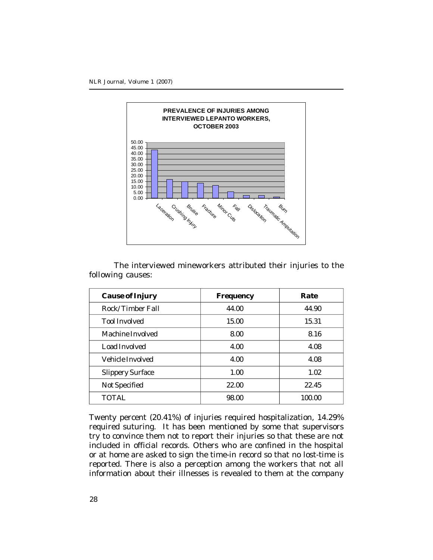

The interviewed mineworkers attributed their injuries to the following causes:

| <b>Cause of Injury</b>  | Frequency | Rate   |
|-------------------------|-----------|--------|
| Rock/Timber Fall        | 44.00     | 44.90  |
| Tool Involved           | 15.00     | 15.31  |
| Machine Involved        | 8.00      | 8.16   |
| Load Involved           | 4.00      | 4.08   |
| Vehicle Involved        | 4.00      | 4.08   |
| <b>Slippery Surface</b> | 1.00      | 1.02   |
| Not Specified           | 22.00     | 22.45  |
| <b>TOTAL</b>            | 98.00     | 100.00 |

Twenty percent (20.41%) of injuries required hospitalization, 14.29% required suturing. It has been mentioned by some that supervisors try to convince them not to report their injuries so that these are not included in official records. Others who are confined in the hospital or at home are asked to sign the time-in record so that no lost-time is reported. There is also a perception among the workers that not all information about their illnesses is revealed to them at the company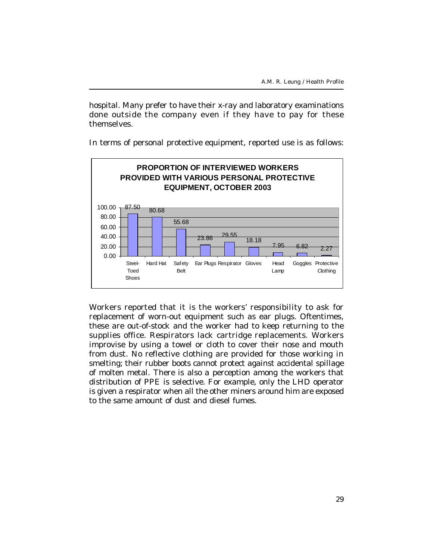hospital. Many prefer to have their x-ray and laboratory examinations done outside the company even if they have to pay for these themselves.

In terms of personal protective equipment, reported use is as follows:



Workers reported that it is the workers' responsibility to ask for replacement of worn-out equipment such as ear plugs. Oftentimes, these are out-of-stock and the worker had to keep returning to the supplies office. Respirators lack cartridge replacements. Workers improvise by using a towel or cloth to cover their nose and mouth from dust. No reflective clothing are provided for those working in smelting; their rubber boots cannot protect against accidental spillage of molten metal. There is also a perception among the workers that distribution of PPE is selective. For example, only the LHD operator is given a respirator when all the other miners around him are exposed to the same amount of dust and diesel fumes.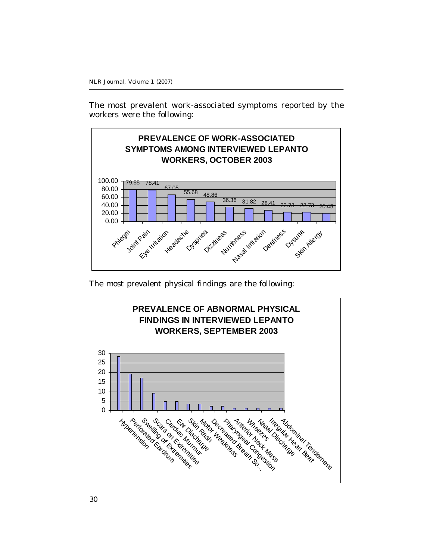The most prevalent work-associated symptoms reported by the workers were the following:



The most prevalent physical findings are the following:

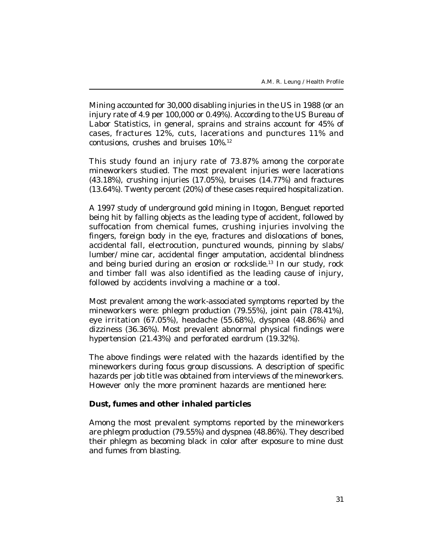Mining accounted for 30,000 disabling injuries in the US in 1988 (or an injury rate of 4.9 per 100,000 or 0.49%). According to the US Bureau of Labor Statistics, in general, sprains and strains account for 45% of cases, fractures 12%, cuts, lacerations and punctures 11% and contusions, crushes and bruises 10%.<sup>12</sup>

This study found an injury rate of 73.87% among the corporate mineworkers studied. The most prevalent injuries were lacerations (43.18%), crushing injuries (17.05%), bruises (14.77%) and fractures (13.64%). Twenty percent (20%) of these cases required hospitalization.

A 1997 study of underground gold mining in Itogon, Benguet reported being hit by falling objects as the leading type of accident, followed by suffocation from chemical fumes, crushing injuries involving the fingers, foreign body in the eye, fractures and dislocations of bones, accidental fall, electrocution, punctured wounds, pinning by slabs/ lumber/ mine car, accidental finger amputation, accidental blindness and being buried during an erosion or rockslide.<sup>13</sup> In our study, rock and timber fall was also identified as the leading cause of injury, followed by accidents involving a machine or a tool.

Most prevalent among the work-associated symptoms reported by the mineworkers were: phlegm production (79.55%), joint pain (78.41%), eye irritation (67.05%), headache (55.68%), dyspnea (48.86%) and dizziness (36.36%). Most prevalent abnormal physical findings were hypertension (21.43%) and perforated eardrum (19.32%).

The above findings were related with the hazards identified by the mineworkers during focus group discussions. A description of specific hazards per job title was obtained from interviews of the mineworkers. However only the more prominent hazards are mentioned here:

#### **Dust, fumes and other inhaled particles**

Among the most prevalent symptoms reported by the mineworkers are phlegm production (79.55%) and dyspnea (48.86%). They described their phlegm as becoming black in color after exposure to mine dust and fumes from blasting.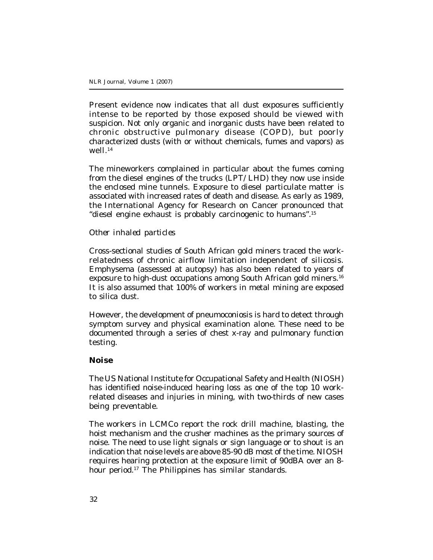Present evidence now indicates that all dust exposures sufficiently intense to be reported by those exposed should be viewed with suspicion. Not only organic and inorganic dusts have been related to chronic obstructive pulmonary disease (COPD), but poorly characterized dusts (with or without chemicals, fumes and vapors) as well $14$ 

The mineworkers complained in particular about the fumes coming from the diesel engines of the trucks (LPT/ LHD) they now use inside the enclosed mine tunnels. Exposure to diesel particulate matter is associated with increased rates of death and disease. As early as 1989, the International Agency for Research on Cancer pronounced that "diesel engine exhaust is probably carcinogenic to humans".<sup>15</sup>

#### *Other inhaled particles*

Cross-sectional studies of South African gold miners traced the workrelatedness of chronic airflow limitation independent of silicosis. Emphysema (assessed at autopsy) has also been related to years of exposure to high-dust occupations among South African gold miners.<sup>16</sup> It is also assumed that 100% of workers in metal mining are exposed to silica dust.

However, the development of pneumoconiosis is hard to detect through symptom survey and physical examination alone. These need to be documented through a series of chest x-ray and pulmonary function testing.

#### **Noise**

The US National Institute for Occupational Safety and Health (NIOSH) has identified noise-induced hearing loss as one of the top 10 workrelated diseases and injuries in mining, with two-thirds of new cases being preventable.

The workers in LCMCo report the rock drill machine, blasting, the hoist mechanism and the crusher machines as the primary sources of noise. The need to use light signals or sign language or to shout is an indication that noise levels are above 85-90 dB most of the time. NIOSH requires hearing protection at the exposure limit of 90dBA over an 8 hour period.<sup>17</sup> The Philippines has similar standards.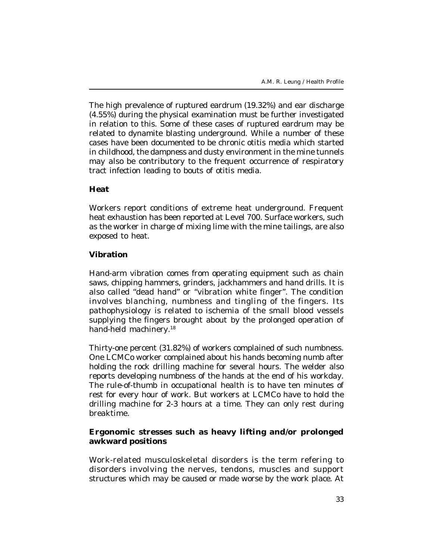The high prevalence of ruptured eardrum (19.32%) and ear discharge (4.55%) during the physical examination must be further investigated in relation to this. Some of these cases of ruptured eardrum may be related to dynamite blasting underground. While a number of these cases have been documented to be chronic otitis media which started in childhood, the dampness and dusty environment in the mine tunnels may also be contributory to the frequent occurrence of respiratory tract infection leading to bouts of otitis media.

# **Heat**

Workers report conditions of extreme heat underground. Frequent heat exhaustion has been reported at Level 700. Surface workers, such as the worker in charge of mixing lime with the mine tailings, are also exposed to heat.

# **Vibration**

Hand-arm vibration comes from operating equipment such as chain saws, chipping hammers, grinders, jackhammers and hand drills. It is also called "dead hand" or "vibration white finger". The condition involves blanching, numbness and tingling of the fingers. Its pathophysiology is related to ischemia of the small blood vessels supplying the fingers brought about by the prolonged operation of hand-held machinery.<sup>18</sup>

Thirty-one percent (31.82%) of workers complained of such numbness. One LCMCo worker complained about his hands becoming numb after holding the rock drilling machine for several hours. The welder also reports developing numbness of the hands at the end of his workday. The rule-of-thumb in occupational health is to have ten minutes of rest for every hour of work. But workers at LCMCo have to hold the drilling machine for 2-3 hours at a time. They can only rest during breaktime.

# **Ergonomic stresses such as heavy lifting and/or prolonged awkward positions**

Work-related musculoskeletal disorders is the term refering to disorders involving the nerves, tendons, muscles and support structures which may be caused or made worse by the work place. At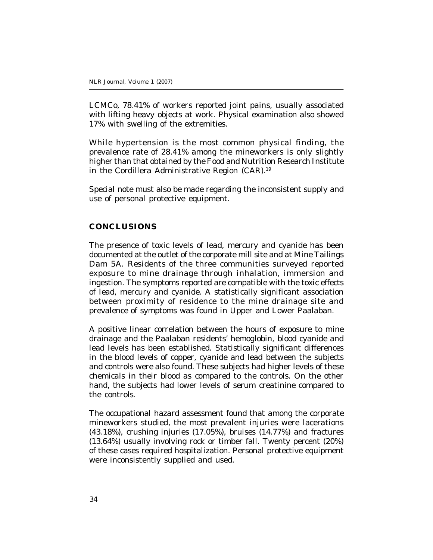LCMCo, 78.41% of workers reported joint pains, usually associated with lifting heavy objects at work. Physical examination also showed 17% with swelling of the extremities.

While hypertension is the most common physical finding, the prevalence rate of 28.41% among the mineworkers is only slightly higher than that obtained by the Food and Nutrition Research Institute in the Cordillera Administrative Region (CAR).<sup>19</sup>

Special note must also be made regarding the inconsistent supply and use of personal protective equipment.

#### **CONCLUSIONS**

The presence of toxic levels of lead, mercury and cyanide has been documented at the outlet of the corporate mill site and at Mine Tailings Dam 5A. Residents of the three communities surveyed reported exposure to mine drainage through inhalation, immersion and ingestion. The symptoms reported are compatible with the toxic effects of lead, mercury and cyanide. A statistically significant association between proximity of residence to the mine drainage site and prevalence of symptoms was found in Upper and Lower Paalaban.

A positive linear correlation between the hours of exposure to mine drainage and the Paalaban residents' hemoglobin, blood cyanide and lead levels has been established. Statistically significant differences in the blood levels of copper, cyanide and lead between the subjects and controls were also found. These subjects had higher levels of these chemicals in their blood as compared to the controls. On the other hand, the subjects had lower levels of serum creatinine compared to the controls.

The occupational hazard assessment found that among the corporate mineworkers studied, the most prevalent injuries were lacerations (43.18%), crushing injuries (17.05%), bruises (14.77%) and fractures (13.64%) usually involving rock or timber fall. Twenty percent (20%) of these cases required hospitalization. Personal protective equipment were inconsistently supplied and used.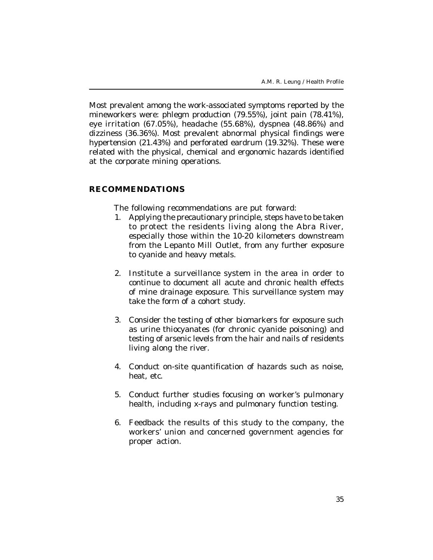Most prevalent among the work-associated symptoms reported by the mineworkers were: phlegm production (79.55%), joint pain (78.41%), eye irritation (67.05%), headache (55.68%), dyspnea (48.86%) and dizziness (36.36%). Most prevalent abnormal physical findings were hypertension (21.43%) and perforated eardrum (19.32%). These were related with the physical, chemical and ergonomic hazards identified at the corporate mining operations.

#### **RECOMMENDATIONS**

The following recommendations are put forward:

- 1. Applying the precautionary principle, steps have to be taken to protect the residents living along the Abra River, especially those within the 10-20 kilometers downstream from the Lepanto Mill Outlet, from any further exposure to cyanide and heavy metals.
- 2. Institute a surveillance system in the area in order to continue to document all acute and chronic health effects of mine drainage exposure. This surveillance system may take the form of a cohort study.
- 3. Consider the testing of other biomarkers for exposure such as urine thiocyanates (for chronic cyanide poisoning) and testing of arsenic levels from the hair and nails of residents living along the river.
- 4. Conduct on-site quantification of hazards such as noise, heat, etc.
- 5. Conduct further studies focusing on worker's pulmonary health, including x-rays and pulmonary function testing.
- 6. Feedback the results of this study to the company, the workers' union and concerned government agencies for proper action.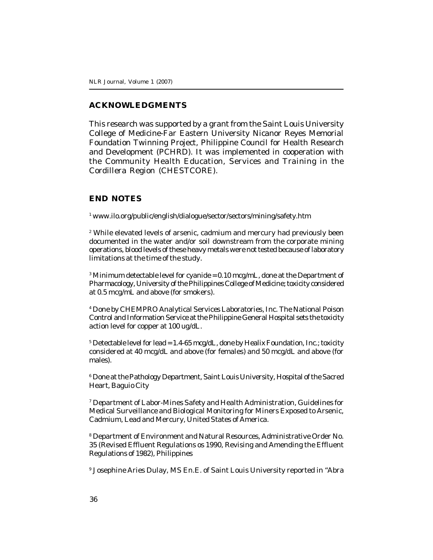#### **ACKNOWLEDGMENTS**

This research was supported by a grant from the Saint Louis University College of Medicine-Far Eastern University Nicanor Reyes Memorial Foundation Twinning Project, Philippine Council for Health Research and Development (PCHRD). It was implemented in cooperation with the Community Health Education, Services and Training in the Cordillera Region (CHESTCORE).

# **END NOTES**

1 www.ilo.org/public/english/dialogue/sector/sectors/mining/safety.htm

2 While elevated levels of arsenic, cadmium and mercury had previously been documented in the water and/or soil downstream from the corporate mining operations, blood levels of these heavy metals were not tested because of laboratory limitations at the time of the study.

 $^3$ Minimum detectable level for cyanide = 0.10 mcg/mL, done at the Department of Pharmacology, University of the Philippines College of Medicine; toxicity considered at 0.5 mcg/mL and above (for smokers).

4 Done by CHEMPRO Analytical Services Laboratories, Inc. The National Poison Control and Information Service at the Philippine General Hospital sets the toxicity action level for copper at 100 ug/dL.

<sup>5</sup> Detectable level for lead = 1.4-65 mcg/dL, done by Healix Foundation, Inc.; toxicity considered at 40 mcg/dL and above (for females) and 50 mcg/dL and above (for males).

6 Done at the Pathology Department, Saint Louis University, Hospital of the Sacred Heart, Baguio City

7 Department of Labor-Mines Safety and Health Administration, Guidelines for Medical Surveillance and Biological Monitoring for Miners Exposed to Arsenic, Cadmium, Lead and Mercury, United States of America.

8 Department of Environment and Natural Resources, Administrative Order No. 35 (Revised Effluent Regulations os 1990, Revising and Amending the Effluent Regulations of 1982), Philippines

9 Josephine Aries Dulay, MS En.E. of Saint Louis University reported in "Abra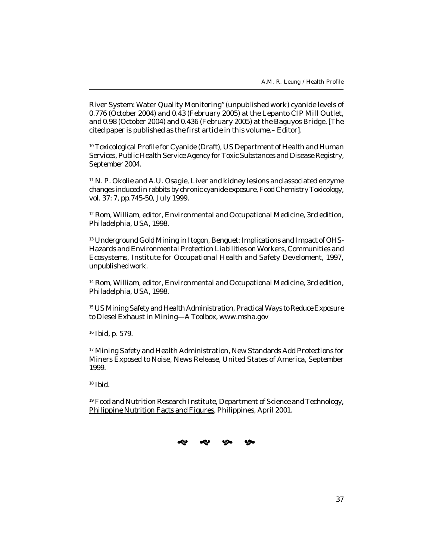River System: Water Quality Monitoring" (unpublished work) cyanide levels of 0.776 (October 2004) and 0.43 (February 2005) at the Lepanto CIP Mill Outlet, and 0.98 (October 2004) and 0.436 (February 2005) at the Baguyos Bridge. [The cited paper is published as the first article in this volume.– Editor].

<sup>10</sup> Toxicological Profile for Cyanide (Draft), US Department of Health and Human Services, Public Health Service Agency for Toxic Substances and Disease Registry, September 2004.

<sup>11</sup> N. P. Okolie and A.U. Osagie, Liver and kidney lesions and associated enzyme changes induced in rabbits by chronic cyanide exposure, Food Chemistry Toxicology, vol. 37: 7, pp.745-50, July 1999.

<sup>12</sup> Rom, William, editor, Environmental and Occupational Medicine, 3rd edition, Philadelphia, USA, 1998.

13 Underground Gold Mining in Itogon, Benguet: Implications and Impact of OHS-Hazards and Environmental Protection Liabilities on Workers, Communities and Ecosystems, Institute for Occupational Health and Safety Develoment, 1997, unpublished work.

<sup>14</sup> Rom, William, editor, Environmental and Occupational Medicine, 3rd edition, Philadelphia, USA, 1998.

<sup>15</sup> US Mining Safety and Health Administration, Practical Ways to Reduce Exposure to Diesel Exhaust in Mining—A Toolbox, www.msha.gov

<sup>16</sup> Ibid, p. 579.

<sup>17</sup> Mining Safety and Health Administration, New Standards Add Protections for Miners Exposed to Noise, News Release, United States of America, September 1999.

 $18$  Ibid.

<sup>19</sup> Food and Nutrition Research Institute, Department of Science and Technology, Philippine Nutrition Facts and Figures, Philippines, April 2001.